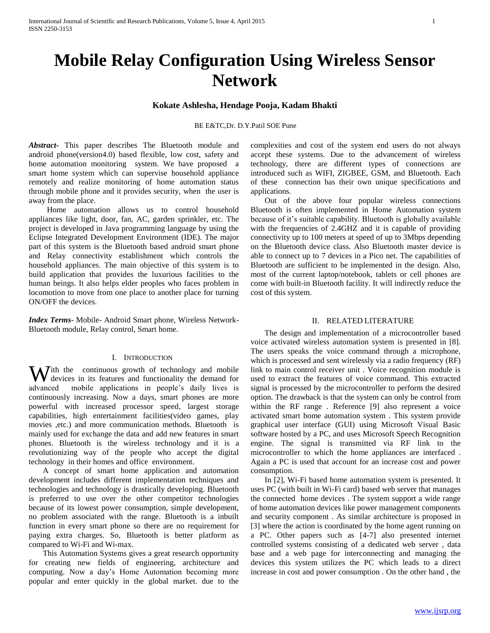# **Mobile Relay Configuration Using Wireless Sensor Network**

## **Kokate Ashlesha, Hendage Pooja, Kadam Bhakti**

#### BE E&TC,Dr. D.Y.Patil SOE Pune

*Abstract***-** This paper describes The Bluetooth module and android phone(version4.0) based flexible, low cost, safety and home automation monitoring system. We have proposed a smart home system which can supervise household appliance remotely and realize monitoring of home automation status through mobile phone and it provides security, when the user is away from the place.

 Home automation allows us to control household appliances like light, door, fan, AC, garden sprinkler, etc. The project is developed in Java programming language by using the Eclipse Integrated Development Environment (IDE). The major part of this system is the Bluetooth based android smart phone and Relay connectivity establishment which controls the household appliances. The main objective of this system is to build application that provides the luxurious facilities to the human beings. It also helps elder peoples who faces problem in locomotion to move from one place to another place for turning ON/OFF the devices.

*Index Terms*- Mobile- Android Smart phone, Wireless Network-Bluetooth module, Relay control, Smart home.

#### I. INTRODUCTION

With the continuous growth of technology and mobile devices in its features and functionality the demand for devices in its features and functionality the demand for advanced mobile applications in people's daily lives is continuously increasing. Now a days, smart phones are more powerful with increased processor speed, largest storage capabilities, high entertainment facilities(video games, play movies ,etc.) and more communication methods. Bluetooth is mainly used for exchange the data and add new features in smart phones. Bluetooth is the wireless technology and it is a revolutionizing way of the people who accept the digital technology in their homes and office environment.

 A concept of smart home application and automation development includes different implementation techniques and technologies and technology is drastically developing. Bluetooth is preferred to use over the other competitor technologies because of its lowest power consumption, simple development, no problem associated with the range. Bluetooth is a inbuilt function in every smart phone so there are no requirement for paying extra charges. So, Bluetooth is better platform as compared to Wi-Fi and Wi-max.

 This Automation Systems gives a great research opportunity for creating new fields of engineering, architecture and computing. Now a day's Home Automation becoming more popular and enter quickly in the global market. due to the

complexities and cost of the system end users do not always accept these systems. Due to the advancement of wireless technology, there are different types of connections are introduced such as WIFI, ZIGBEE, GSM, and Bluetooth. Each of these connection has their own unique specifications and applications.

 Out of the above four popular wireless connections Bluetooth is often implemented in Home Automation system because of it's suitable capability. Bluetooth is globally available with the frequencies of 2.4GHZ and it is capable of providing connectivity up to 100 meters at speed of up to 3Mbps depending on the Bluetooth device class. Also Bluetooth master device is able to connect up to 7 devices in a Pico net. The capabilities of Bluetooth are sufficient to be implemented in the design. Also, most of the current laptop/notebook, tablets or cell phones are come with built-in Bluetooth facility. It will indirectly reduce the cost of this system.

#### II. RELATED LITERATURE

 The design and implementation of a microcontroller based voice activated wireless automation system is presented in [8]. The users speaks the voice command through a microphone, which is processed and sent wirelessly via a radio frequency (RF) link to main control receiver unit . Voice recognition module is used to extract the features of voice command. This extracted signal is processed by the microcontroller to perform the desired option. The drawback is that the system can only be control from within the RF range . Reference [9] also represent a voice activated smart home automation system . This system provide graphical user interface (GUI) using Microsoft Visual Basic software hosted by a PC, and uses Microsoft Speech Recognition engine. The signal is transmitted via RF link to the microcontroller to which the home appliances are interfaced . Again a PC is used that account for an increase cost and power consumption.

 In [2], Wi-Fi based home automation system is presented. It uses PC (with built in Wi-Fi card) based web server that manages the connected home devices . The system support a wide range of home automation devices like power management components and security component . As similar architecture is proposed in [3] where the action is coordinated by the home agent running on a PC. Other papers such as [4-7] also presented internet controlled systems consisting of a dedicated web server , data base and a web page for interconnecting and managing the devices this system utilizes the PC which leads to a direct increase in cost and power consumption . On the other hand , the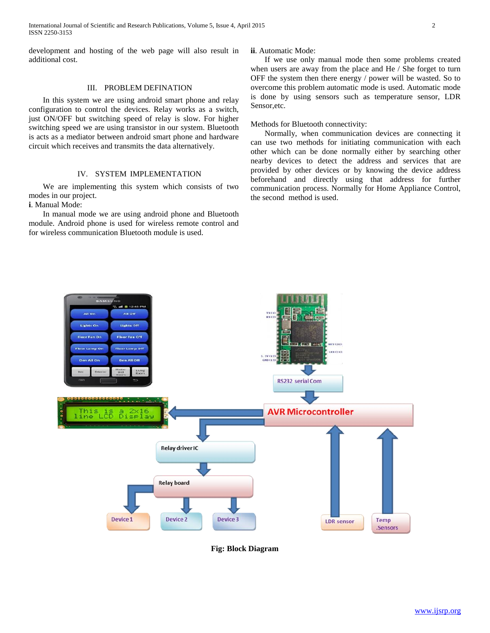International Journal of Scientific and Research Publications, Volume 5, Issue 4, April 2015 2 ISSN 2250-3153

development and hosting of the web page will also result in additional cost.

## III. PROBLEM DEFINATION

 In this system we are using android smart phone and relay configuration to control the devices. Relay works as a switch, just ON/OFF but switching speed of relay is slow. For higher switching speed we are using transistor in our system. Bluetooth is acts as a mediator between android smart phone and hardware circuit which receives and transmits the data alternatively.

## IV. SYSTEM IMPLEMENTATION

 We are implementing this system which consists of two modes in our project.

**i**. Manual Mode:

 In manual mode we are using android phone and Bluetooth module. Android phone is used for wireless remote control and for wireless communication Bluetooth module is used.

#### **ii**. Automatic Mode:

 If we use only manual mode then some problems created when users are away from the place and He / She forget to turn OFF the system then there energy / power will be wasted. So to overcome this problem automatic mode is used. Automatic mode is done by using sensors such as temperature sensor, LDR Sensor,etc.

Methods for Bluetooth connectivity:

 Normally, when communication devices are connecting it can use two methods for initiating communication with each other which can be done normally either by searching other nearby devices to detect the address and services that are provided by other devices or by knowing the device address beforehand and directly using that address for further communication process. Normally for Home Appliance Control, the second method is used.



**Fig: Block Diagram**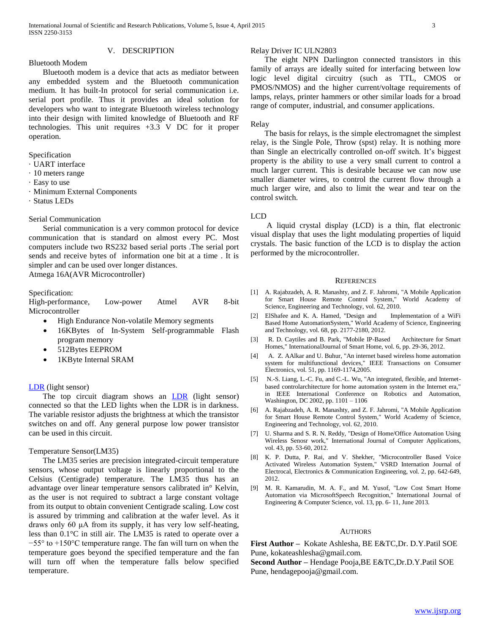V. DESCRIPTION

#### Bluetooth Modem

 Bluetooth modem is a device that acts as mediator between any embedded system and the Bluetooth communication medium. It has built-In protocol for serial communication i.e. serial port profile. Thus it provides an ideal solution for developers who want to integrate Bluetooth wireless technology into their design with limited knowledge of Bluetooth and RF technologies. This unit requires +3.3 V DC for it proper operation.

Specification

- · UART interface
- · 10 meters range
- · Easy to use
- · Minimum External Components
- · Status LEDs

#### Serial Communication

 Serial communication is a very common protocol for device communication that is standard on almost every PC. Most computers include two RS232 based serial ports .The serial port sends and receive bytes of information one bit at a time . It is simpler and can be used over longer distances.

Atmega 16A(AVR Microcontroller)

#### Specification:

High-performance, Low-power Atmel AVR 8-bit Microcontroller

- High Endurance Non-volatile Memory segments
- 16KBytes of In-System Self-programmable Flash program memory
- 512Bytes EEPROM
- 1KByte Internal SRAM

#### [LDR](http://www.kpsec.freeuk.com/components/other.htm#ldr) (light sensor)

The top circuit diagram shows an  $LDR$  (light sensor) connected so that the LED lights when the LDR is in darkness. The variable resistor adjusts the brightness at which the transistor switches on and off. Any general purpose low power transistor can be used in this circuit.

#### Temperature Sensor(LM35)

 The LM35 series are precision integrated-circuit temperature sensors, whose output voltage is linearly proportional to the Celsius (Centigrade) temperature. The LM35 thus has an advantage over linear temperature sensors calibrated in° Kelvin, as the user is not required to subtract a large constant voltage from its output to obtain convenient Centigrade scaling. Low cost is assured by trimming and calibration at the wafer level. As it draws only 60 μA from its supply, it has very low self-heating, less than 0.1°C in still air. The LM35 is rated to operate over a −55° to +150°C temperature range. The fan will turn on when the temperature goes beyond the specified temperature and the fan will turn off when the temperature falls below specified temperature.

## Relay Driver IC ULN2803

 The eight NPN Darlington connected transistors in this family of arrays are ideally suited for interfacing between low logic level digital circuitry (such as TTL, CMOS or PMOS/NMOS) and the higher current/voltage requirements of lamps, relays, printer hammers or other similar loads for a broad range of computer, industrial, and consumer applications.

#### Relay

 The basis for relays, is the simple electromagnet the simplest relay, is the Single Pole, Throw (spst) relay. It is nothing more than Single an electrically controlled on-off switch. It's biggest property is the ability to use a very small current to control a much larger current. This is desirable because we can now use smaller diameter wires, to control the current flow through a much larger wire, and also to limit the wear and tear on the control switch.

#### LCD

 A liquid crystal display (LCD) is a thin, flat electronic visual display that uses the light modulating properties of liquid crystals. The basic function of the LCD is to display the action performed by the microcontroller.

#### **REFERENCES**

- [1] A. Rajabzadeh, A. R. Manashty, and Z. F. Jahromi, "A Mobile Application for Smart House Remote Control System," World Academy of Science, Engineering and Technology, vol. 62, 2010.
- [2] ElShafee and K. A. Hamed, "Design and Implementation of a WiFi Based Home AutomationSystem," World Academy of Science, Engineering and Technology, vol. 68, pp. 2177-2180, 2012.
- [3] R. D. Caytiles and B. Park, "Mobile IP-Based Architecture for Smart Homes," InternationalJournal of Smart Home, vol. 6, pp. 29-36, 2012.
- [4] A. Z. AAlkar and U. Buhur, "An internet based wireless home automation system for multifunctional devices," IEEE Transactions on Consumer Electronics, vol. 51, pp. 1169-1174,2005.
- [5] N.-S. Liang, L.-C. Fu, and C.-L. Wu, "An integrated, flexible, and Internetbased controlarchitecture for home automation system in the Internet era," in IEEE International Conference on Robotics and Automation, Washington, DC 2002, pp. 1101 – 1106
- [6] A. Rajabzadeh, A. R. Manashty, and Z. F. Jahromi, "A Mobile Application for Smart House Remote Control System," World Academy of Science, Engineering and Technology, vol. 62, 2010.
- [7] U. Sharma and S. R. N. Reddy, "Design of Home/Office Automation Using Wireless Senosr work," International Journal of Computer Applications, vol. 43, pp. 53-60, 2012.
- [8] K. P. Dutta, P. Rai, and V. Shekher, "Microcontroller Based Voice Activated Wireless Automation System," VSRD Internation Journal of Electrocal, Electronics & Communication Engineering, vol. 2, pp. 642-649, 2012.
- [9] M. R. Kamarudin, M. A. F., and M. Yusof, "Low Cost Smart Home Automation via MicrosoftSpeech Recognition," International Journal of Engineering & Computer Science, vol. 13, pp. 6- 11, June 2013.

#### **AUTHORS**

**First Author –** Kokate Ashlesha, BE E&TC,Dr. D.Y.Patil SOE Pune, kokateashlesha@gmail.com.

**Second Author –** Hendage Pooja,BE E&TC,Dr.D.Y.Patil SOE Pune, hendagepooja@gmail.com.